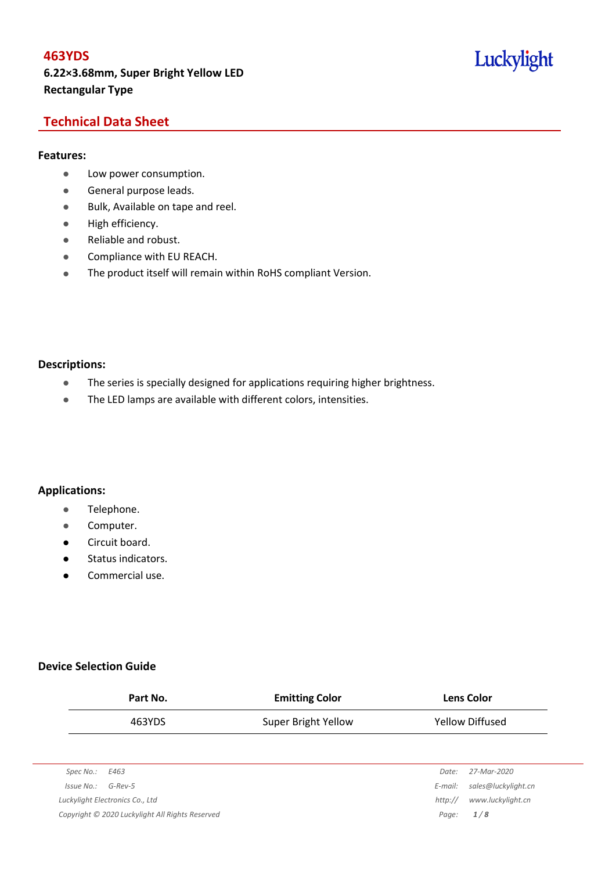## Luckylight

## **Technical Data Sheet**

#### **Features:**

- Low power consumption.
- **General purpose leads.**
- Bulk, Available on tape and reel.
- High efficiency.
- Reliable and robust.
- **•** Compliance with EU REACH.
- The product itself will remain within RoHS compliant Version.

#### **Descriptions:**

- The series is specially designed for applications requiring higher brightness.
- The LED lamps are available with different colors, intensities.

#### **Applications:**

- **•** Telephone.
- **•** Computer.
- **•** Circuit board.
- **•** Status indicators.
- Commercial use.

### **Device Selection Guide**

|            | Part No.                                        | <b>Emitting Color</b> |                 | <b>Lens Color</b>   |  |  |
|------------|-------------------------------------------------|-----------------------|-----------------|---------------------|--|--|
|            | 463YDS                                          | Super Bright Yellow   | Yellow Diffused |                     |  |  |
|            |                                                 |                       |                 |                     |  |  |
| Spec No.:  | E463                                            |                       | Date:           | 27-Mar-2020         |  |  |
| Issue No.: | $G$ -Rev-5                                      |                       | E-mail:         | sales@luckylight.cn |  |  |
|            | Luckylight Electronics Co., Ltd                 |                       | http://         | www.luckylight.cn   |  |  |
|            | Copyright © 2020 Luckylight All Rights Reserved |                       | Page:           | 1/8                 |  |  |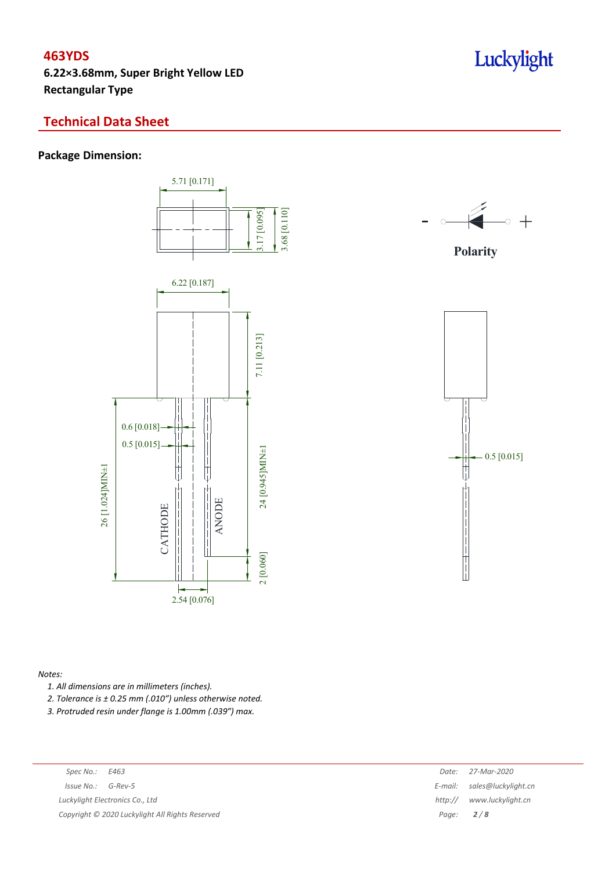## **463YDS**

**6.22×3.68mm, Super Bright Yellow LED Rectangular Type**

## **Technical Data Sheet**

## **Package Dimension:**





**Polarity**



#### *Notes:*

*1. All dimensions are in millimeters (inches).*

*2. Tolerance is ± 0.25 mm (.010″) unless otherwise noted.*

*3. Protruded resin under flange is 1.00mm (.039″) max.*

| Spec No.: E463                                  | Date:       | 27-Mar-2020                 |
|-------------------------------------------------|-------------|-----------------------------|
| $Issue No.: G-Rev-5$                            |             | E-mail: sales@luckylight.cn |
| Luckylight Electronics Co., Ltd                 | http://     | www.luckylight.cn           |
| Copyright © 2020 Luckylight All Rights Reserved | Page: $2/8$ |                             |
|                                                 |             |                             |

## Luckylight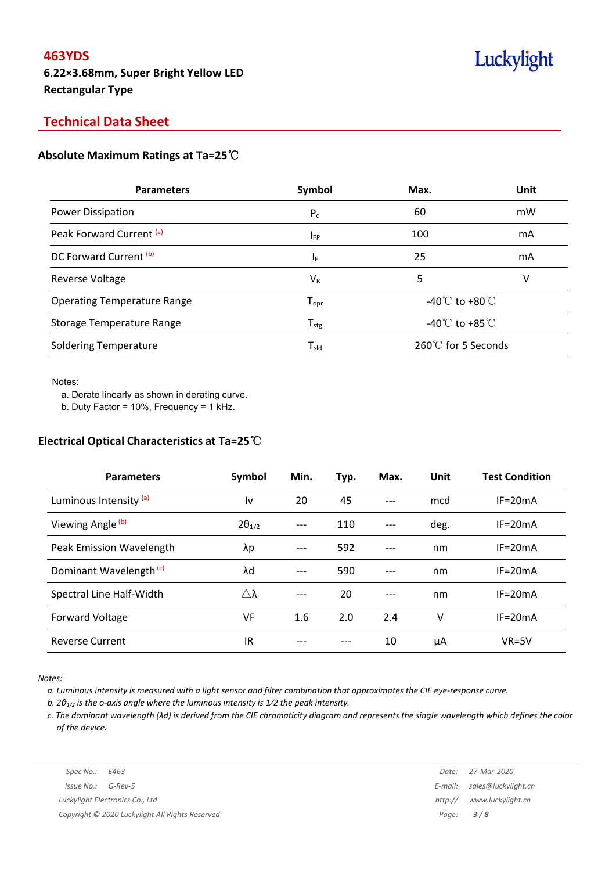## **Technical Data Sheet**

#### **Absolute Maximum Ratings at Ta=25**℃

| <b>Parameters</b>                  | Symbol                       | Max.                                 | Unit |
|------------------------------------|------------------------------|--------------------------------------|------|
| <b>Power Dissipation</b>           | $P_d$                        | 60                                   | mW   |
| Peak Forward Current (a)           | <b>IFP</b>                   | 100                                  | mA   |
| DC Forward Current (b)             | ΙF                           | 25                                   | mA   |
| <b>Reverse Voltage</b>             | $V_{R}$                      | 5                                    | v    |
| <b>Operating Temperature Range</b> | $\mathsf{T}_{\mathsf{opr}}$  | -40 $\degree$ C to +80 $\degree$ C   |      |
| Storage Temperature Range          | ${\mathsf T}_{\textsf{stg}}$ | -40 $^{\circ}$ C to +85 $^{\circ}$ C |      |
| <b>Soldering Temperature</b>       | $T_{\sf sld}$                | 260℃ for 5 Seconds                   |      |

Notes:

a. Derate linearly as shown in derating curve.

b. Duty Factor = 10%, Frequency = 1 kHz.

## **Electrical Optical Characteristics at Ta=25**℃

| <b>Parameters</b>                  | Symbol          | Min. | Typ. | Max.  | Unit | <b>Test Condition</b> |
|------------------------------------|-----------------|------|------|-------|------|-----------------------|
| Luminous Intensity <sup>(a)</sup>  | l٧              | 20   | 45   |       | mcd  | $IF=20mA$             |
| Viewing Angle (b)                  | $2\theta_{1/2}$ | ---  | 110  |       | deg. | $IF = 20mA$           |
| Peak Emission Wavelength           | λp              | ---  | 592  | $---$ | nm   | $IF=20mA$             |
| Dominant Wavelength <sup>(c)</sup> | λd              | ---  | 590  | $---$ | nm   | $IF=20mA$             |
| Spectral Line Half-Width           | Δλ              | ---  | 20   |       | nm   | $IF = 20mA$           |
| Forward Voltage                    | VF              | 1.6  | 2.0  | 2.4   | v    | $IF=20mA$             |
| <b>Reverse Current</b>             | IR              |      |      | 10    | μA   | $VR=5V$               |

*Notes:*

a. Luminous intensity is measured with a light sensor and filter combination that approximates the CIE eye-response curve.

*b. 2θ1/2 is the o-axis angle where the luminous intensity is 1⁄2 the peak intensity.*

c. The dominant wavelength ( $\lambda$ d) is derived from the CIE chromaticity diagram and represents the single wavelength which defines the color *of the device.*

*Luckylight Electronics Co., Ltd http:// www.luckylight.cn Copyright © 2020 Luckylight All Rights Reserved Page: 3 / 8*

*Spec No.: E463 Date: 27-Mar-2020 Issue No.: G-Rev-5 E-mail: sales@luckylight.cn*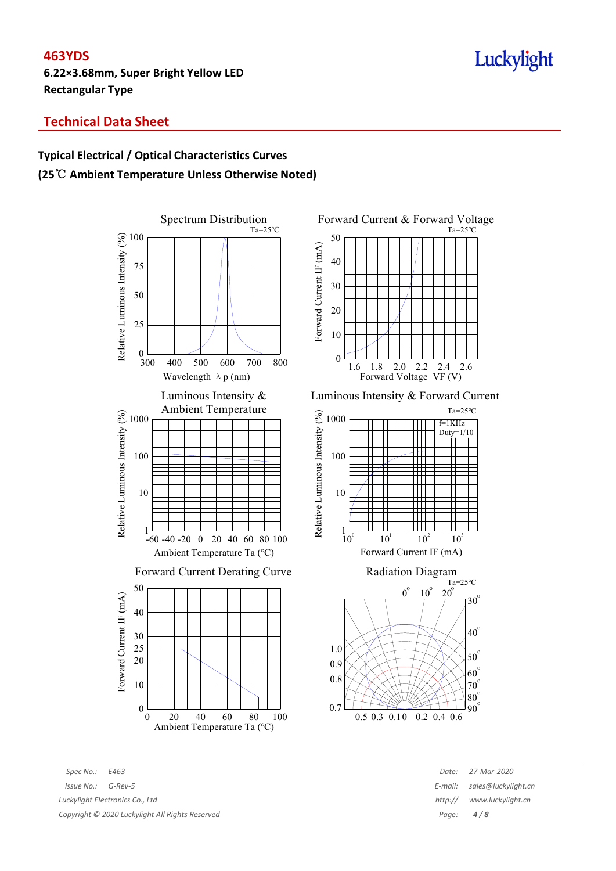## **463YDS**

**6.22×3.68mm, Super Bright Yellow LED Rectangular Type**

# Luckylight

## **Technical Data Sheet**

## **Typical Electrical / Optical Characteristics Curves (25**℃ **Ambient Temperature Unless Otherwise Noted)**









*Spec No.: E463 Date: 27-Mar-2020*

*Issue No.: G-Rev-5 E-mail: sales@luckylight.cn Luckylight Electronics Co., Ltd http:// www.luckylight.cn*

*Copyright © 2020 Luckylight All Rights Reserved Page: 4 / 8*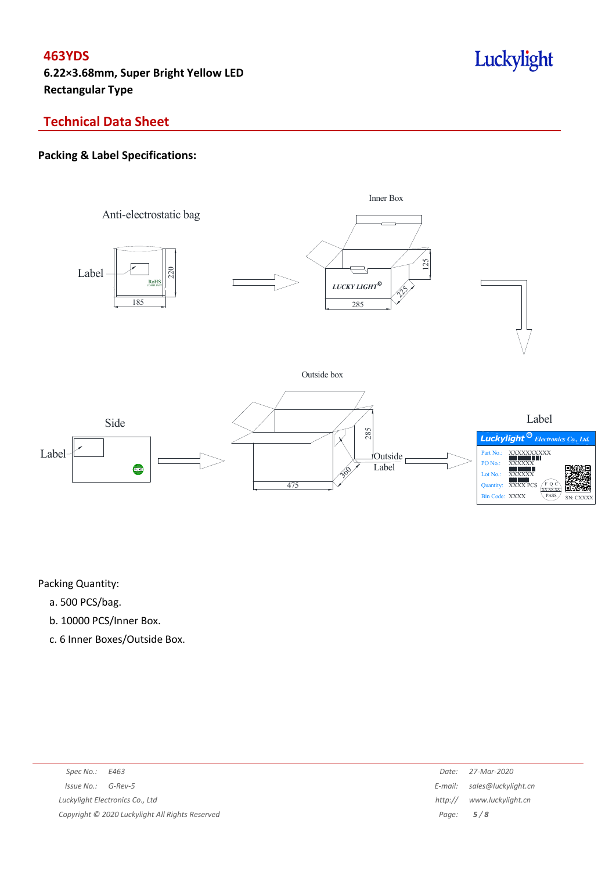# Luckylight

## **Technical Data Sheet**

## **Packing & Label Specifications:**



Packing Quantity:

- a. 500 PCS/bag.
- b. 10000 PCS/Inner Box.
- c. 6 Inner Boxes/Outside Box.

| Spec No.: $E463$                                | Date:       | 27-Mar-2020                 |
|-------------------------------------------------|-------------|-----------------------------|
| Issue No.: G-Rev-5                              |             | E-mail: sales@luckylight.cn |
| Luckylight Electronics Co., Ltd                 | http://     | www.luckylight.cn           |
| Copyright © 2020 Luckylight All Rights Reserved | Page: $5/8$ |                             |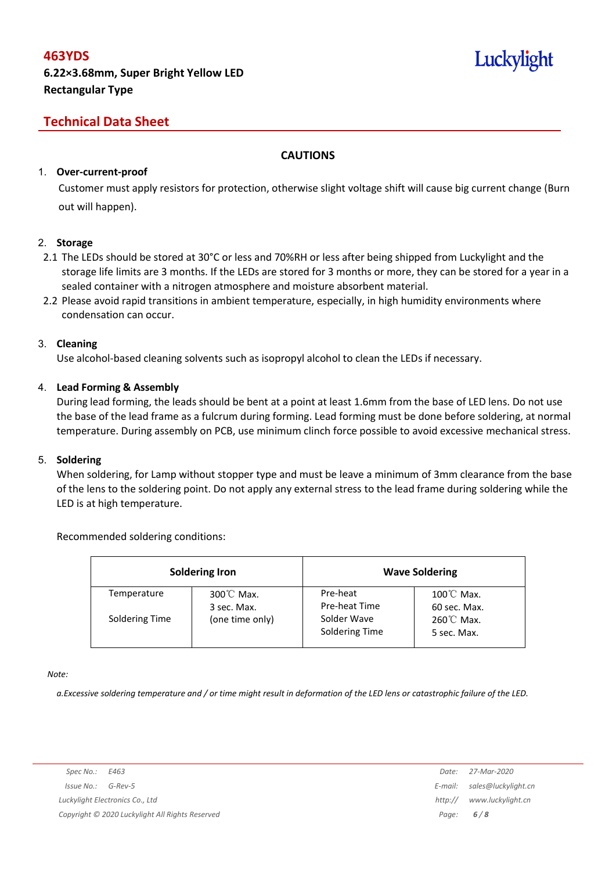# Luckylight

## **Technical Data Sheet**

### **CAUTIONS**

#### 1. **Over-current-proof**

Customer must apply resistors for protection, otherwise slight voltage shift will cause big current change (Burn out will happen).

#### 2. **Storage**

- 2.1 The LEDs should be stored at 30°C or less and 70%RH or less after being shipped from Luckylight and the storage life limits are 3 months. If the LEDs are stored for 3 months or more, they can be stored for a year in a sealed container with a nitrogen atmosphere and moisture absorbent material.
- 2.2 Please avoid rapid transitions in ambient temperature, especially, in high humidity environments where condensation can occur.

#### 3. **Cleaning**

Use alcohol-based cleaning solvents such as isopropyl alcohol to clean the LEDs if necessary.

### 4. **Lead Forming & Assembly**

During lead forming, the leads should be bent at a point at least 1.6mm from the base of LED lens. Do not use the base of the lead frame as a fulcrum during forming. Lead forming must be done before soldering, at normal temperature. During assembly on PCB, use minimum clinch force possible to avoid excessive mechanical stress.

#### 5. **Soldering**

When soldering, for Lamp without stopper type and must be leave a minimum of 3mm clearance from the base of the lens to the soldering point. Do not apply any external stress to the lead frame during soldering while the LED is at high temperature.

#### Recommended soldering conditions:

| <b>Soldering Iron</b> |                          | <b>Wave Soldering</b>         |                                      |  |
|-----------------------|--------------------------|-------------------------------|--------------------------------------|--|
| Temperature           | 300℃ Max.<br>3 sec. Max. | Pre-heat<br>Pre-heat Time     | $100^{\circ}$ C Max.<br>60 sec. Max. |  |
| Soldering Time        | (one time only)          | Solder Wave<br>Soldering Time | $260^{\circ}$ C Max.<br>5 sec. Max.  |  |

*Note:*

a. Excessive soldering temperature and / or time might result in deformation of the LED lens or catastrophic failure of the LED.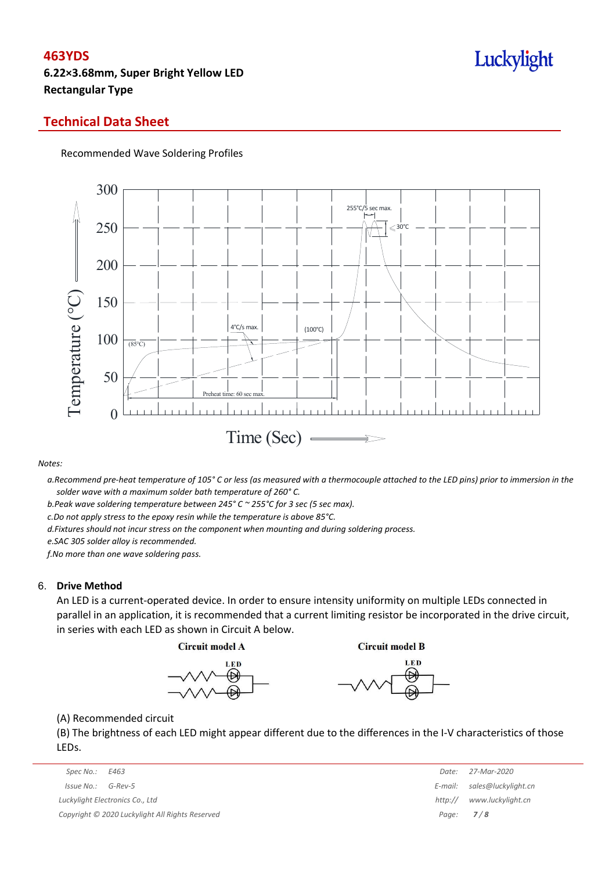## Luckylight

### **Technical Data Sheet**

#### Recommended Wave Soldering Profiles



*Notes:*

a. Recommend pre-heat temperature of 105° C or less (as measured with a thermocouple attached to the LED pins) prior to immersion in the *solder wave with a maximum solder bath temperature of 260° C.*

*b.Peak wave soldering temperature between 245° C ~ 255°C for 3 sec (5 sec max).*

*c.Do not apply stress to the epoxy resin while the temperature is above 85°C.*

*d.Fixtures should not incur stress on the component when mounting and during soldering process.*

*e.SAC 305 solder alloy is recommended.*

*f.No more than one wave soldering pass.*

#### 6. **Drive Method**

An LED is a current-operated device. In order to ensure intensity uniformity on multiple LEDs connected in parallel in an application, it is recommended that a current limiting resistor be incorporated in the drive circuit, in series with each LED as shown in Circuit A below.

**Circuit model A** 

**Circuit model B** 





(A) Recommended circuit

(B) The brightness of each LED might appear different due to the differences in the I-V characteristics of those LEDs.

| Spec No.:<br>E463                               | Date:            | 27-Mar-2020                 |
|-------------------------------------------------|------------------|-----------------------------|
| Issue No.:<br>G-Rev-5                           |                  | E-mail: sales@luckylight.cn |
| Luckylight Electronics Co., Ltd                 | http://          | www.luckylight.cn           |
| Copyright © 2020 Luckylight All Rights Reserved | Page: <b>7/8</b> |                             |